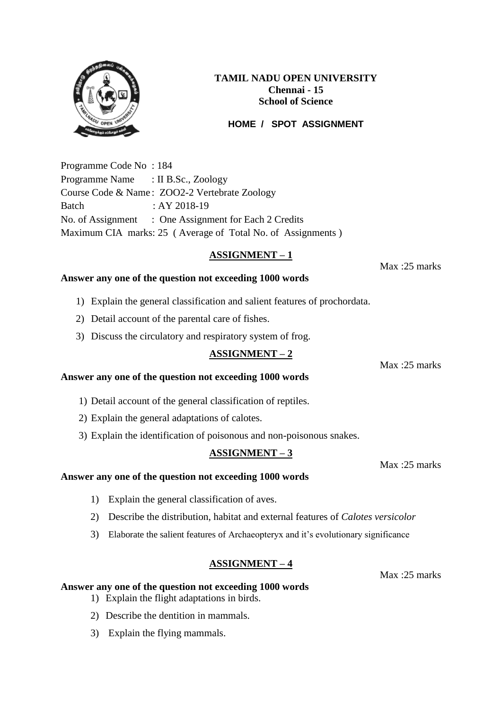

# **TAMIL NADU OPEN UNIVERSITY Chennai - 15 School of Science**

# **HOME / SPOT ASSIGNMENT**

Programme Code No : 184 Programme Name : II B.Sc., Zoology Course Code & Name : ZOO2-2 Vertebrate Zoology Batch : AY 2018-19 No. of Assignment : One Assignment for Each 2 Credits Maximum CIA marks: 25 ( Average of Total No. of Assignments )

# **ASSIGNMENT – 1**

Max :25 marks

#### **Answer any one of the question not exceeding 1000 words**

- 1) Explain the general classification and salient features of prochordata.
- 2) Detail account of the parental care of fishes.
- 3) Discuss the circulatory and respiratory system of frog.

## **ASSIGNMENT – 2**

Max :25 marks

#### **Answer any one of the question not exceeding 1000 words**

- 1) Detail account of the general classification of reptiles.
- 2) Explain the general adaptations of calotes.
- 3) Explain the identification of poisonous and non-poisonous snakes.

## **ASSIGNMENT – 3**

**Answer any one of the question not exceeding 1000 words** 

- 1) Explain the general classification of aves.
- 2) Describe the distribution, habitat and external features of *Calotes versicolor*
- 3) Elaborate the salient features of Archaeopteryx and it's evolutionary significance

# **ASSIGNMENT – 4**

#### **Answer any one of the question not exceeding 1000 words**

- 1) Explain the flight adaptations in birds.
- 2) Describe the dentition in mammals.
- 3) Explain the flying mammals.

Max :25 marks

Max :25 marks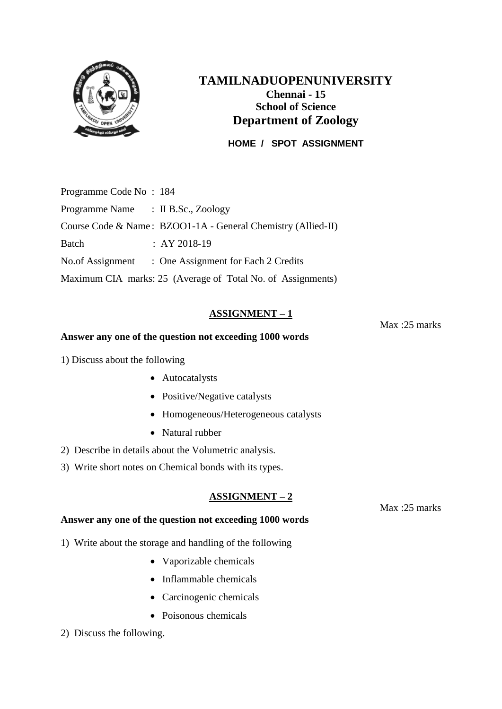

# **TAMILNADUOPENUNIVERSITY Chennai - 15 School of Science Department of Zoology**

**HOME / SPOT ASSIGNMENT**

Programme Code No : 184 Programme Name : II B.Sc., Zoology Course Code & Name : BZOO1-1A - General Chemistry (Allied-II) Batch : AY 2018-19 No.of Assignment : One Assignment for Each 2 Credits Maximum CIA marks: 25 (Average of Total No. of Assignments)

# **ASSIGNMENT – 1**

#### **Answer any one of the question not exceeding 1000 words**

1) Discuss about the following

- Autocatalysts
- Positive/Negative catalysts
- Homogeneous/Heterogeneous catalysts
- Natural rubber
- 2) Describe in details about the Volumetric analysis.
- 3) Write short notes on Chemical bonds with its types.

## **ASSIGNMENT – 2**

Max :25 marks

Max :25 marks

1) Write about the storage and handling of the following

**Answer any one of the question not exceeding 1000 words** 

- Vaporizable chemicals
- Inflammable chemicals
- Carcinogenic chemicals
- Poisonous chemicals
- 2) Discuss the following.